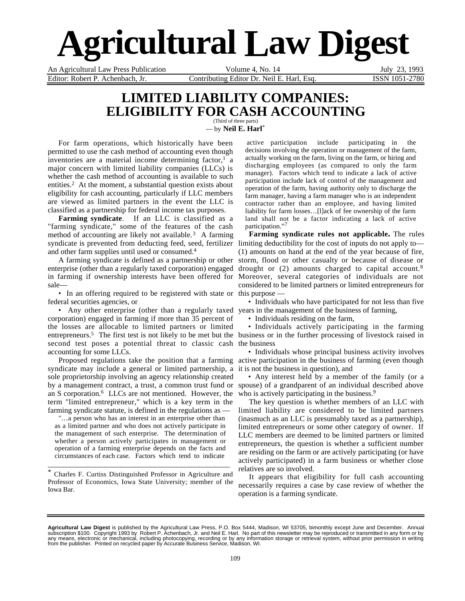# **Agricultural Law Digest**

Editor: Robert P. Achenbach, Jr. Contributing Editor Dr. Neil E. Harl, Esq. ISSN 1051-2780

An Agricultural Law Press Publication Volume 4, No. 14 July 23, 1993

### **LIMITED LIABILITY COMPANIES: ELIGIBILITY FOR CASH ACCOUNTING** (Third of three parts)

— by **Neil E. Harl**\*

 For farm operations, which historically have been permitted to use the cash method of accounting even though inventories are a material income determining factor,<sup>1</sup> a major concern with limited liability companies (LLCs) is whether the cash method of accounting is available to such entities.<sup>2</sup> At the moment, a substantial question exists about eligibility for cash accounting, particularly if LLC members are viewed as limited partners in the event the LLC is classified as a partnership for federal income tax purposes.

**Farming syndicate**. If an LLC is classified as a "farming syndicate," some of the features of the cash method of accounting are likely not available.<sup>3</sup> A farming syndicate is prevented from deducting feed, seed, fertilizer limiting deductibility for the cost of inputs do not apply to and other farm supplies until used or consumed.4

A farming syndicate is defined as a partnership or other enterprise (other than a regularly taxed corporation) engaged in farming if ownership interests have been offered for sale—

• In an offering required to be registered with state or this purpose federal securities agencies, or

• Any other enterprise (other than a regularly taxed years in the management of the business of farming, corporation) engaged in farming if more than 35 percent of the losses are allocable to limited partners or limited entrepreneurs.<sup>5</sup> The first test is not likely to be met but the business or in the further processing of livestock raised in second test poses a potential threat to classic cash the business accounting for some LLCs.

Proposed regulations take the position that a farming syndicate may include a general or limited partnership, a sole proprietorship involving an agency relationship created by a management contract, a trust, a common trust fund or spouse) of a grandparent of an individual described above an S corporation.6 LLCs are not mentioned. However, the term "limited entrepreneur," which is a key term in the farming syndicate statute, is defined in the regulations as —

 "…a person who has an interest in an enterprise other than as a limited partner and who does not actively participate in the management of such enterprise. The determination of whether a person actively participates in management or operation of a farming enterprise depends on the facts and circumstances of each case. Factors which tend to indicate

\* Charles F. Curtiss Distinguished Professor in Agriculture and Professor of Economics, Iowa State University; member of the Iowa Bar.

\_\_\_\_\_\_\_\_\_\_\_\_\_\_\_\_\_\_\_\_\_\_\_\_\_\_\_\_\_\_\_\_\_\_\_\_\_\_\_\_\_\_\_\_\_\_\_\_

 active participation include participating in the decisions involving the operation or management of the farm, actually working on the farm, living on the farm, or hiring and discharging employees (as compared to only the farm manager). Factors which tend to indicate a lack of active participation include lack of control of the management and operation of the farm, having authority only to discharge the farm manager, having a farm manager who is an independent contractor rather than an employee, and having limited liability for farm losses…[l]ack of fee ownership of the farm land shall not be a factor indicating a lack of active participation."<sup>7</sup>

**Farming syndicate rules not applicable.** The rules (1) amounts on hand at the end of the year because of fire, storm, flood or other casualty or because of disease or drought or (2) amounts charged to capital account.8 Moreover, several categories of individuals are not considered to be limited partners or limited entrepreneurs for

• Individuals who have participated for not less than five

• Individuals residing on the farm,

• Individuals actively participating in the farming

• Individuals whose principal business activity involves active participation in the business of farming (even though it is not the business in question), and

• Any interest held by a member of the family (or a who is actively participating in the business.<sup>9</sup>

The key question is whether members of an LLC with limited liability are considered to be limited partners (inasmuch as an LLC is presumably taxed as a partnership), limited entrepreneurs or some other category of owner. If LLC members are deemed to be limited partners or limited entrepreneurs, the question is whether a sufficient number are residing on the farm or are actively participating (or have actively participated) in a farm business or whether close relatives are so involved.

It appears that eligibility for full cash accounting necessarily requires a case by case review of whether the operation is a farming syndicate.

**Agricultural Law Digest** is published by the Agricultural Law Press, P.O. Box 5444, Madison, WI 53705, bimonthly except June and December. Annual<br>subscription \$100. Copyright 1993 by Robert P. Achenbach, Jr. and Neil E. from the publisher. Printed on recycled paper by Accurate Business Service, Madison, WI.